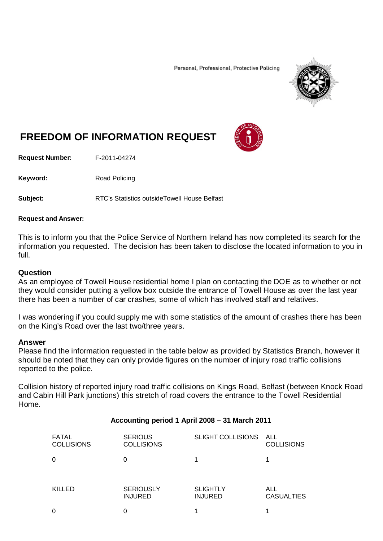Personal, Professional, Protective Policing



# **FREEDOM OF INFORMATION REQUEST**

**Request Number:** F-2011-04274

Keyword: Road Policing

**Subject:** RTC's Statistics outsideTowell House Belfast

## **Request and Answer:**

This is to inform you that the Police Service of Northern Ireland has now completed its search for the information you requested. The decision has been taken to disclose the located information to you in full.

## **Question**

As an employee of Towell House residential home I plan on contacting the DOE as to whether or not they would consider putting a yellow box outside the entrance of Towell House as over the last year there has been a number of car crashes, some of which has involved staff and relatives.

I was wondering if you could supply me with some statistics of the amount of crashes there has been on the King's Road over the last two/three years.

#### **Answer**

Please find the information requested in the table below as provided by Statistics Branch, however it should be noted that they can only provide figures on the number of injury road traffic collisions reported to the police.

Collision history of reported injury road traffic collisions on Kings Road, Belfast (between Knock Road and Cabin Hill Park junctions) this stretch of road covers the entrance to the Towell Residential Home.

## **Accounting period 1 April 2008 – 31 March 2011**

| <b>FATAL</b><br><b>COLLISIONS</b> | <b>SERIOUS</b><br><b>COLLISIONS</b> | SLIGHT COLLISIONS ALL             | <b>COLLISIONS</b>        |
|-----------------------------------|-------------------------------------|-----------------------------------|--------------------------|
| 0                                 |                                     |                                   |                          |
| KILLED                            | <b>SERIOUSLY</b><br><b>INJURED</b>  | <b>SLIGHTLY</b><br><b>INJURED</b> | ALL<br><b>CASUALTIES</b> |
| 0                                 |                                     |                                   |                          |